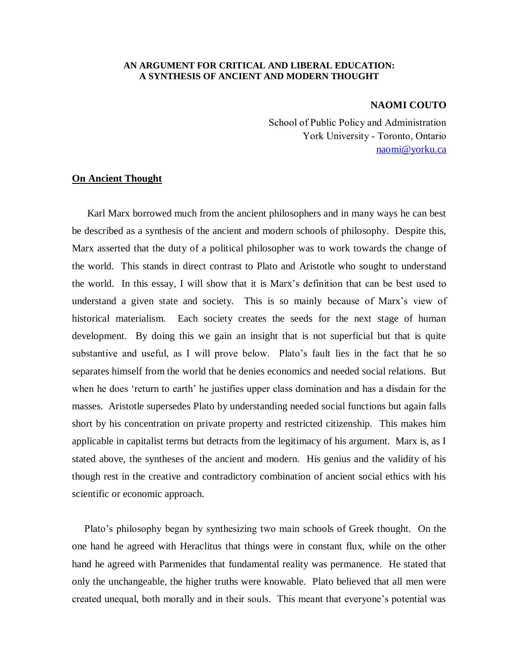### **AN ARGUMENT FOR CRITICAL AND LIBERAL EDUCATION: A SYNTHESIS OF ANCIENT AND MODERN THOUGHT**

#### **NAOMI COUTO**

School of Public Policy and Administration York University - Toronto, Ontario [naomi@yorku.ca](mailto:naomi@yorku.ca)

#### **On Ancient Thought**

 Karl Marx borrowed much from the ancient philosophers and in many ways he can best be described as a synthesis of the ancient and modern schools of philosophy. Despite this, Marx asserted that the duty of a political philosopher was to work towards the change of the world. This stands in direct contrast to Plato and Aristotle who sought to understand the world. In this essay, I will show that it is Marx's definition that can be best used to understand a given state and society. This is so mainly because of Marx's view of historical materialism. Each society creates the seeds for the next stage of human development. By doing this we gain an insight that is not superficial but that is quite substantive and useful, as I will prove below. Plato's fault lies in the fact that he so separates himself from the world that he denies economics and needed social relations. But when he does 'return to earth' he justifies upper class domination and has a disdain for the masses. Aristotle supersedes Plato by understanding needed social functions but again falls short by his concentration on private property and restricted citizenship. This makes him applicable in capitalist terms but detracts from the legitimacy of his argument. Marx is, as I stated above, the syntheses of the ancient and modern. His genius and the validity of his though rest in the creative and contradictory combination of ancient social ethics with his scientific or economic approach.

 Plato's philosophy began by synthesizing two main schools of Greek thought. On the one hand he agreed with Heraclitus that things were in constant flux, while on the other hand he agreed with Parmenides that fundamental reality was permanence. He stated that only the unchangeable, the higher truths were knowable. Plato believed that all men were created unequal, both morally and in their souls. This meant that everyone's potential was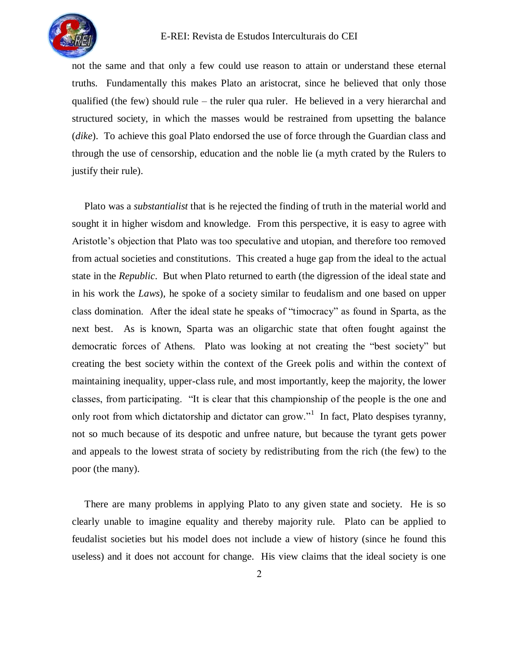

not the same and that only a few could use reason to attain or understand these eternal truths. Fundamentally this makes Plato an aristocrat, since he believed that only those qualified (the few) should rule – the ruler qua ruler. He believed in a very hierarchal and structured society, in which the masses would be restrained from upsetting the balance (*dike*). To achieve this goal Plato endorsed the use of force through the Guardian class and through the use of censorship, education and the noble lie (a myth crated by the Rulers to justify their rule).

 Plato was a *substantialist* that is he rejected the finding of truth in the material world and sought it in higher wisdom and knowledge. From this perspective, it is easy to agree with Aristotle's objection that Plato was too speculative and utopian, and therefore too removed from actual societies and constitutions. This created a huge gap from the ideal to the actual state in the *Republic*. But when Plato returned to earth (the digression of the ideal state and in his work the *Laws*), he spoke of a society similar to feudalism and one based on upper class domination. After the ideal state he speaks of "timocracy" as found in Sparta, as the next best. As is known, Sparta was an oligarchic state that often fought against the democratic forces of Athens. Plato was looking at not creating the "best society" but creating the best society within the context of the Greek polis and within the context of maintaining inequality, upper-class rule, and most importantly, keep the majority, the lower classes, from participating. "It is clear that this championship of the people is the one and only root from which dictatorship and dictator can grow."<sup>1</sup> In fact, Plato despises tyranny, not so much because of its despotic and unfree nature, but because the tyrant gets power and appeals to the lowest strata of society by redistributing from the rich (the few) to the poor (the many).

 There are many problems in applying Plato to any given state and society. He is so clearly unable to imagine equality and thereby majority rule. Plato can be applied to feudalist societies but his model does not include a view of history (since he found this useless) and it does not account for change. His view claims that the ideal society is one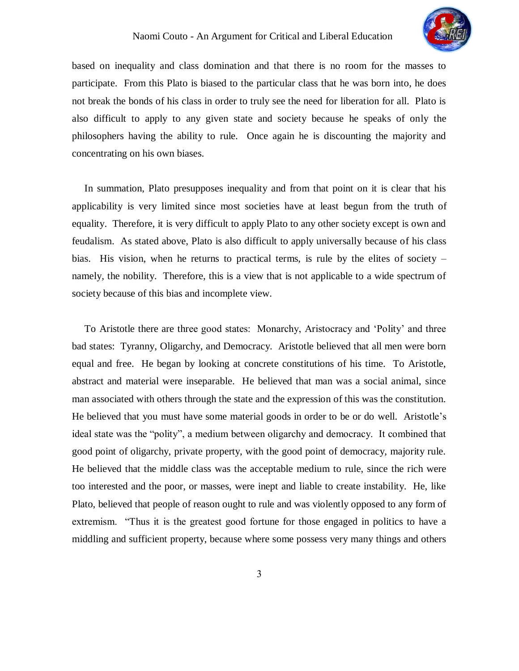

based on inequality and class domination and that there is no room for the masses to participate. From this Plato is biased to the particular class that he was born into, he does not break the bonds of his class in order to truly see the need for liberation for all. Plato is also difficult to apply to any given state and society because he speaks of only the philosophers having the ability to rule. Once again he is discounting the majority and concentrating on his own biases.

 In summation, Plato presupposes inequality and from that point on it is clear that his applicability is very limited since most societies have at least begun from the truth of equality. Therefore, it is very difficult to apply Plato to any other society except is own and feudalism. As stated above, Plato is also difficult to apply universally because of his class bias. His vision, when he returns to practical terms, is rule by the elites of society – namely, the nobility. Therefore, this is a view that is not applicable to a wide spectrum of society because of this bias and incomplete view.

 To Aristotle there are three good states: Monarchy, Aristocracy and 'Polity' and three bad states: Tyranny, Oligarchy, and Democracy. Aristotle believed that all men were born equal and free. He began by looking at concrete constitutions of his time. To Aristotle, abstract and material were inseparable. He believed that man was a social animal, since man associated with others through the state and the expression of this was the constitution. He believed that you must have some material goods in order to be or do well. Aristotle's ideal state was the "polity", a medium between oligarchy and democracy. It combined that good point of oligarchy, private property, with the good point of democracy, majority rule. He believed that the middle class was the acceptable medium to rule, since the rich were too interested and the poor, or masses, were inept and liable to create instability. He, like Plato, believed that people of reason ought to rule and was violently opposed to any form of extremism. "Thus it is the greatest good fortune for those engaged in politics to have a middling and sufficient property, because where some possess very many things and others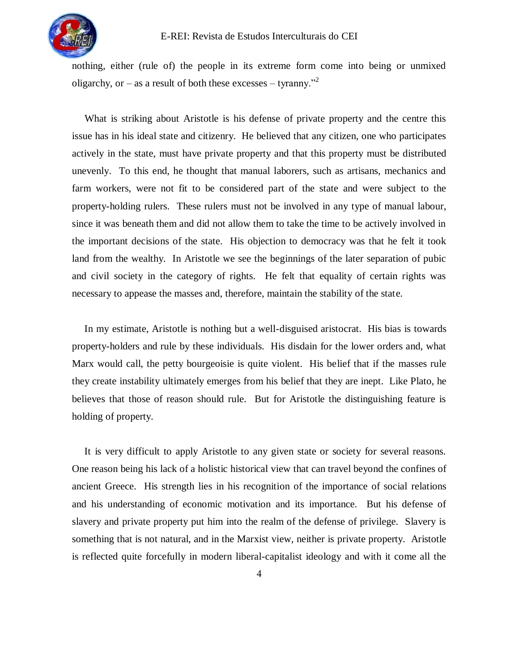

nothing, either (rule of) the people in its extreme form come into being or unmixed oligarchy, or – as a result of both these excesses – tyranny.<sup>"2</sup>

What is striking about Aristotle is his defense of private property and the centre this issue has in his ideal state and citizenry. He believed that any citizen, one who participates actively in the state, must have private property and that this property must be distributed unevenly. To this end, he thought that manual laborers, such as artisans, mechanics and farm workers, were not fit to be considered part of the state and were subject to the property-holding rulers. These rulers must not be involved in any type of manual labour, since it was beneath them and did not allow them to take the time to be actively involved in the important decisions of the state. His objection to democracy was that he felt it took land from the wealthy. In Aristotle we see the beginnings of the later separation of pubic and civil society in the category of rights. He felt that equality of certain rights was necessary to appease the masses and, therefore, maintain the stability of the state.

 In my estimate, Aristotle is nothing but a well-disguised aristocrat. His bias is towards property-holders and rule by these individuals. His disdain for the lower orders and, what Marx would call, the petty bourgeoisie is quite violent. His belief that if the masses rule they create instability ultimately emerges from his belief that they are inept. Like Plato, he believes that those of reason should rule. But for Aristotle the distinguishing feature is holding of property.

 It is very difficult to apply Aristotle to any given state or society for several reasons. One reason being his lack of a holistic historical view that can travel beyond the confines of ancient Greece. His strength lies in his recognition of the importance of social relations and his understanding of economic motivation and its importance. But his defense of slavery and private property put him into the realm of the defense of privilege. Slavery is something that is not natural, and in the Marxist view, neither is private property. Aristotle is reflected quite forcefully in modern liberal-capitalist ideology and with it come all the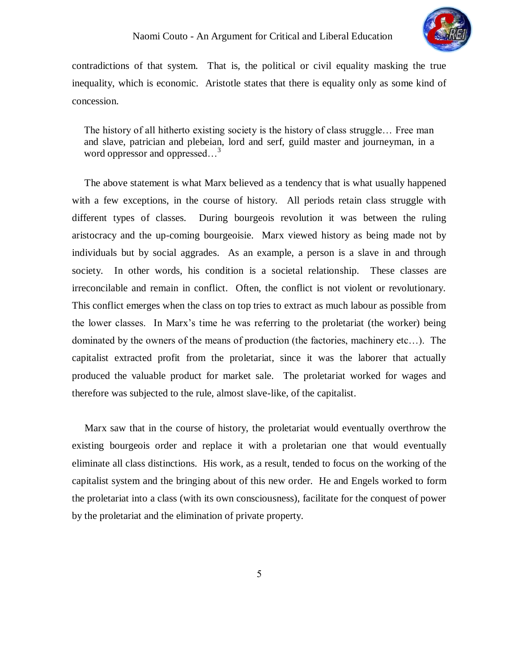

contradictions of that system. That is, the political or civil equality masking the true inequality, which is economic. Aristotle states that there is equality only as some kind of concession.

The history of all hitherto existing society is the history of class struggle… Free man and slave, patrician and plebeian, lord and serf, guild master and journeyman, in a word oppressor and oppressed...<sup>3</sup>

 The above statement is what Marx believed as a tendency that is what usually happened with a few exceptions, in the course of history. All periods retain class struggle with different types of classes. During bourgeois revolution it was between the ruling aristocracy and the up-coming bourgeoisie. Marx viewed history as being made not by individuals but by social aggrades. As an example, a person is a slave in and through society. In other words, his condition is a societal relationship. These classes are irreconcilable and remain in conflict. Often, the conflict is not violent or revolutionary. This conflict emerges when the class on top tries to extract as much labour as possible from the lower classes. In Marx's time he was referring to the proletariat (the worker) being dominated by the owners of the means of production (the factories, machinery etc…). The capitalist extracted profit from the proletariat, since it was the laborer that actually produced the valuable product for market sale. The proletariat worked for wages and therefore was subjected to the rule, almost slave-like, of the capitalist.

 Marx saw that in the course of history, the proletariat would eventually overthrow the existing bourgeois order and replace it with a proletarian one that would eventually eliminate all class distinctions. His work, as a result, tended to focus on the working of the capitalist system and the bringing about of this new order. He and Engels worked to form the proletariat into a class (with its own consciousness), facilitate for the conquest of power by the proletariat and the elimination of private property.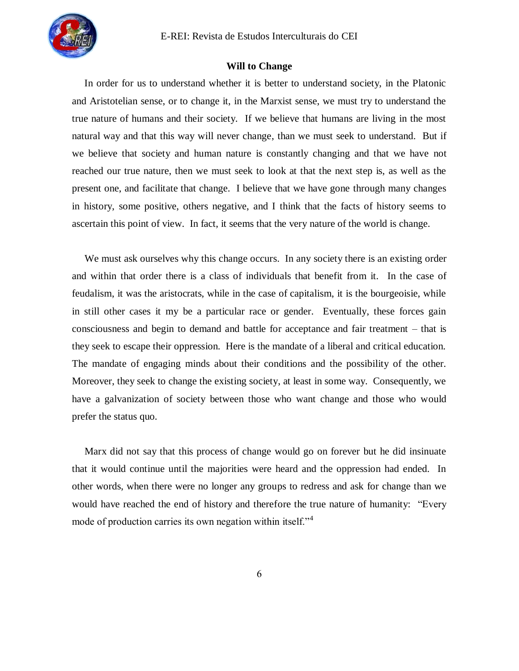

#### **Will to Change**

 In order for us to understand whether it is better to understand society, in the Platonic and Aristotelian sense, or to change it, in the Marxist sense, we must try to understand the true nature of humans and their society. If we believe that humans are living in the most natural way and that this way will never change, than we must seek to understand. But if we believe that society and human nature is constantly changing and that we have not reached our true nature, then we must seek to look at that the next step is, as well as the present one, and facilitate that change. I believe that we have gone through many changes in history, some positive, others negative, and I think that the facts of history seems to ascertain this point of view. In fact, it seems that the very nature of the world is change.

We must ask ourselves why this change occurs. In any society there is an existing order and within that order there is a class of individuals that benefit from it. In the case of feudalism, it was the aristocrats, while in the case of capitalism, it is the bourgeoisie, while in still other cases it my be a particular race or gender. Eventually, these forces gain consciousness and begin to demand and battle for acceptance and fair treatment – that is they seek to escape their oppression. Here is the mandate of a liberal and critical education. The mandate of engaging minds about their conditions and the possibility of the other. Moreover, they seek to change the existing society, at least in some way. Consequently, we have a galvanization of society between those who want change and those who would prefer the status quo.

 Marx did not say that this process of change would go on forever but he did insinuate that it would continue until the majorities were heard and the oppression had ended. In other words, when there were no longer any groups to redress and ask for change than we would have reached the end of history and therefore the true nature of humanity: "Every mode of production carries its own negation within itself."<sup>4</sup>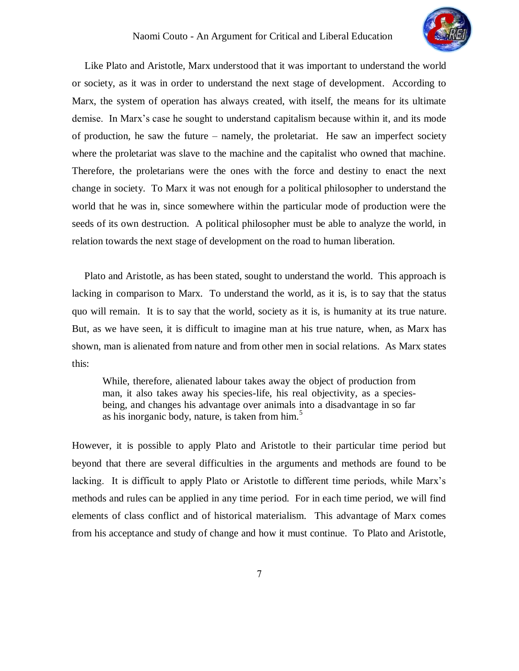#### Naomi Couto - An Argument for Critical and Liberal Education



 Like Plato and Aristotle, Marx understood that it was important to understand the world or society, as it was in order to understand the next stage of development. According to Marx, the system of operation has always created, with itself, the means for its ultimate demise. In Marx's case he sought to understand capitalism because within it, and its mode of production, he saw the future – namely, the proletariat. He saw an imperfect society where the proletariat was slave to the machine and the capitalist who owned that machine. Therefore, the proletarians were the ones with the force and destiny to enact the next change in society. To Marx it was not enough for a political philosopher to understand the world that he was in, since somewhere within the particular mode of production were the seeds of its own destruction. A political philosopher must be able to analyze the world, in relation towards the next stage of development on the road to human liberation.

 Plato and Aristotle, as has been stated, sought to understand the world. This approach is lacking in comparison to Marx. To understand the world, as it is, is to say that the status quo will remain. It is to say that the world, society as it is, is humanity at its true nature. But, as we have seen, it is difficult to imagine man at his true nature, when, as Marx has shown, man is alienated from nature and from other men in social relations. As Marx states this:

While, therefore, alienated labour takes away the object of production from man, it also takes away his species-life, his real objectivity, as a speciesbeing, and changes his advantage over animals into a disadvantage in so far as his inorganic body, nature, is taken from him.<sup>5</sup>

However, it is possible to apply Plato and Aristotle to their particular time period but beyond that there are several difficulties in the arguments and methods are found to be lacking. It is difficult to apply Plato or Aristotle to different time periods, while Marx's methods and rules can be applied in any time period. For in each time period, we will find elements of class conflict and of historical materialism. This advantage of Marx comes from his acceptance and study of change and how it must continue. To Plato and Aristotle,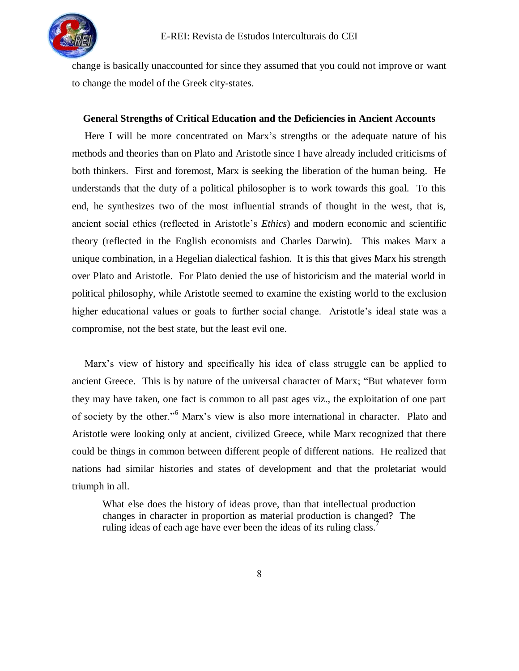

change is basically unaccounted for since they assumed that you could not improve or want to change the model of the Greek city-states.

## **General Strengths of Critical Education and the Deficiencies in Ancient Accounts**

 Here I will be more concentrated on Marx's strengths or the adequate nature of his methods and theories than on Plato and Aristotle since I have already included criticisms of both thinkers. First and foremost, Marx is seeking the liberation of the human being. He understands that the duty of a political philosopher is to work towards this goal. To this end, he synthesizes two of the most influential strands of thought in the west, that is, ancient social ethics (reflected in Aristotle's *Ethics*) and modern economic and scientific theory (reflected in the English economists and Charles Darwin). This makes Marx a unique combination, in a Hegelian dialectical fashion. It is this that gives Marx his strength over Plato and Aristotle. For Plato denied the use of historicism and the material world in political philosophy, while Aristotle seemed to examine the existing world to the exclusion higher educational values or goals to further social change. Aristotle's ideal state was a compromise, not the best state, but the least evil one.

 Marx's view of history and specifically his idea of class struggle can be applied to ancient Greece. This is by nature of the universal character of Marx; "But whatever form they may have taken, one fact is common to all past ages viz., the exploitation of one part of society by the other."<sup>6</sup> Marx's view is also more international in character. Plato and Aristotle were looking only at ancient, civilized Greece, while Marx recognized that there could be things in common between different people of different nations. He realized that nations had similar histories and states of development and that the proletariat would triumph in all.

What else does the history of ideas prove, than that intellectual production changes in character in proportion as material production is changed? The ruling ideas of each age have ever been the ideas of its ruling class.<sup>7</sup>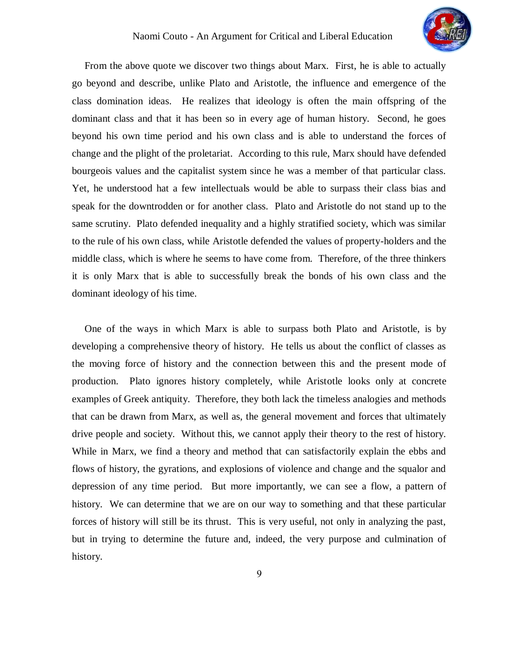### Naomi Couto - An Argument for Critical and Liberal Education



 From the above quote we discover two things about Marx. First, he is able to actually go beyond and describe, unlike Plato and Aristotle, the influence and emergence of the class domination ideas. He realizes that ideology is often the main offspring of the dominant class and that it has been so in every age of human history. Second, he goes beyond his own time period and his own class and is able to understand the forces of change and the plight of the proletariat. According to this rule, Marx should have defended bourgeois values and the capitalist system since he was a member of that particular class. Yet, he understood hat a few intellectuals would be able to surpass their class bias and speak for the downtrodden or for another class. Plato and Aristotle do not stand up to the same scrutiny. Plato defended inequality and a highly stratified society, which was similar to the rule of his own class, while Aristotle defended the values of property-holders and the middle class, which is where he seems to have come from. Therefore, of the three thinkers it is only Marx that is able to successfully break the bonds of his own class and the dominant ideology of his time.

 One of the ways in which Marx is able to surpass both Plato and Aristotle, is by developing a comprehensive theory of history. He tells us about the conflict of classes as the moving force of history and the connection between this and the present mode of production. Plato ignores history completely, while Aristotle looks only at concrete examples of Greek antiquity. Therefore, they both lack the timeless analogies and methods that can be drawn from Marx, as well as, the general movement and forces that ultimately drive people and society. Without this, we cannot apply their theory to the rest of history. While in Marx, we find a theory and method that can satisfactorily explain the ebbs and flows of history, the gyrations, and explosions of violence and change and the squalor and depression of any time period. But more importantly, we can see a flow, a pattern of history. We can determine that we are on our way to something and that these particular forces of history will still be its thrust. This is very useful, not only in analyzing the past, but in trying to determine the future and, indeed, the very purpose and culmination of history.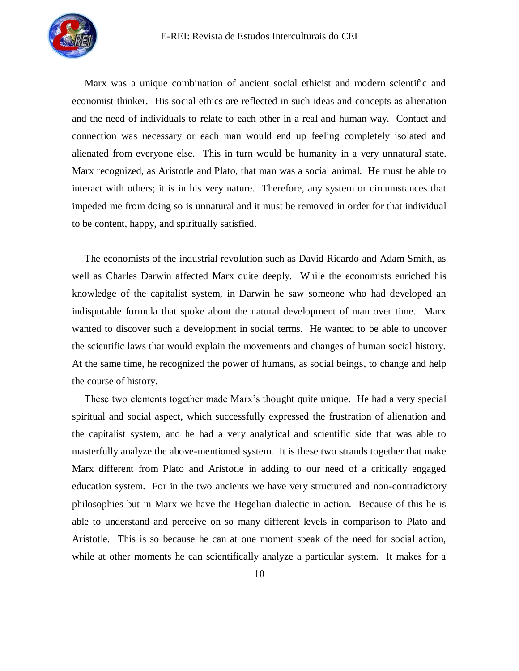

 Marx was a unique combination of ancient social ethicist and modern scientific and economist thinker. His social ethics are reflected in such ideas and concepts as alienation and the need of individuals to relate to each other in a real and human way. Contact and connection was necessary or each man would end up feeling completely isolated and alienated from everyone else. This in turn would be humanity in a very unnatural state. Marx recognized, as Aristotle and Plato, that man was a social animal. He must be able to interact with others; it is in his very nature. Therefore, any system or circumstances that impeded me from doing so is unnatural and it must be removed in order for that individual to be content, happy, and spiritually satisfied.

 The economists of the industrial revolution such as David Ricardo and Adam Smith, as well as Charles Darwin affected Marx quite deeply. While the economists enriched his knowledge of the capitalist system, in Darwin he saw someone who had developed an indisputable formula that spoke about the natural development of man over time. Marx wanted to discover such a development in social terms. He wanted to be able to uncover the scientific laws that would explain the movements and changes of human social history. At the same time, he recognized the power of humans, as social beings, to change and help the course of history.

 These two elements together made Marx's thought quite unique. He had a very special spiritual and social aspect, which successfully expressed the frustration of alienation and the capitalist system, and he had a very analytical and scientific side that was able to masterfully analyze the above-mentioned system. It is these two strands together that make Marx different from Plato and Aristotle in adding to our need of a critically engaged education system. For in the two ancients we have very structured and non-contradictory philosophies but in Marx we have the Hegelian dialectic in action. Because of this he is able to understand and perceive on so many different levels in comparison to Plato and Aristotle. This is so because he can at one moment speak of the need for social action, while at other moments he can scientifically analyze a particular system. It makes for a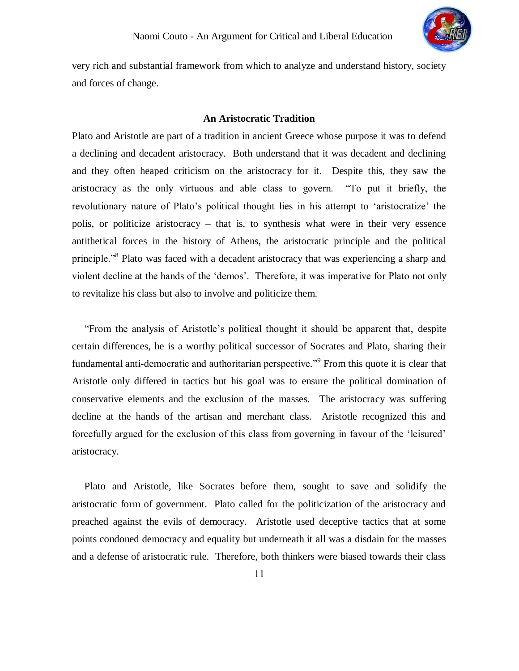

very rich and substantial framework from which to analyze and understand history, society and forces of change.

### **An Aristocratic Tradition**

Plato and Aristotle are part of a tradition in ancient Greece whose purpose it was to defend a declining and decadent aristocracy. Both understand that it was decadent and declining and they often heaped criticism on the aristocracy for it. Despite this, they saw the aristocracy as the only virtuous and able class to govern. "To put it briefly, the revolutionary nature of Plato's political thought lies in his attempt to 'aristocratize' the polis, or politicize aristocracy – that is, to synthesis what were in their very essence antithetical forces in the history of Athens, the aristocratic principle and the political principle."<sup>8</sup> Plato was faced with a decadent aristocracy that was experiencing a sharp and violent decline at the hands of the 'demos'. Therefore, it was imperative for Plato not only to revitalize his class but also to involve and politicize them.

 "From the analysis of Aristotle's political thought it should be apparent that, despite certain differences, he is a worthy political successor of Socrates and Plato, sharing their fundamental anti-democratic and authoritarian perspective."<sup>9</sup> From this quote it is clear that Aristotle only differed in tactics but his goal was to ensure the political domination of conservative elements and the exclusion of the masses. The aristocracy was suffering decline at the hands of the artisan and merchant class. Aristotle recognized this and forcefully argued for the exclusion of this class from governing in favour of the 'leisured' aristocracy.

 Plato and Aristotle, like Socrates before them, sought to save and solidify the aristocratic form of government. Plato called for the politicization of the aristocracy and preached against the evils of democracy. Aristotle used deceptive tactics that at some points condoned democracy and equality but underneath it all was a disdain for the masses and a defense of aristocratic rule. Therefore, both thinkers were biased towards their class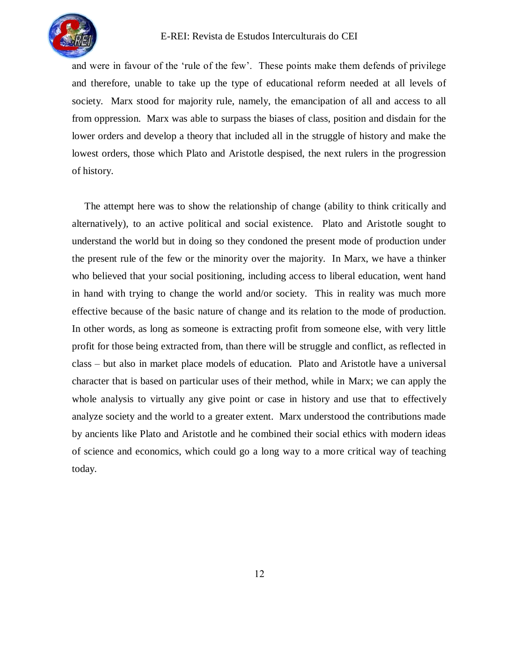

and were in favour of the 'rule of the few'. These points make them defends of privilege and therefore, unable to take up the type of educational reform needed at all levels of society. Marx stood for majority rule, namely, the emancipation of all and access to all from oppression. Marx was able to surpass the biases of class, position and disdain for the lower orders and develop a theory that included all in the struggle of history and make the lowest orders, those which Plato and Aristotle despised, the next rulers in the progression of history.

 The attempt here was to show the relationship of change (ability to think critically and alternatively), to an active political and social existence. Plato and Aristotle sought to understand the world but in doing so they condoned the present mode of production under the present rule of the few or the minority over the majority. In Marx, we have a thinker who believed that your social positioning, including access to liberal education, went hand in hand with trying to change the world and/or society. This in reality was much more effective because of the basic nature of change and its relation to the mode of production. In other words, as long as someone is extracting profit from someone else, with very little profit for those being extracted from, than there will be struggle and conflict, as reflected in class – but also in market place models of education. Plato and Aristotle have a universal character that is based on particular uses of their method, while in Marx; we can apply the whole analysis to virtually any give point or case in history and use that to effectively analyze society and the world to a greater extent. Marx understood the contributions made by ancients like Plato and Aristotle and he combined their social ethics with modern ideas of science and economics, which could go a long way to a more critical way of teaching today.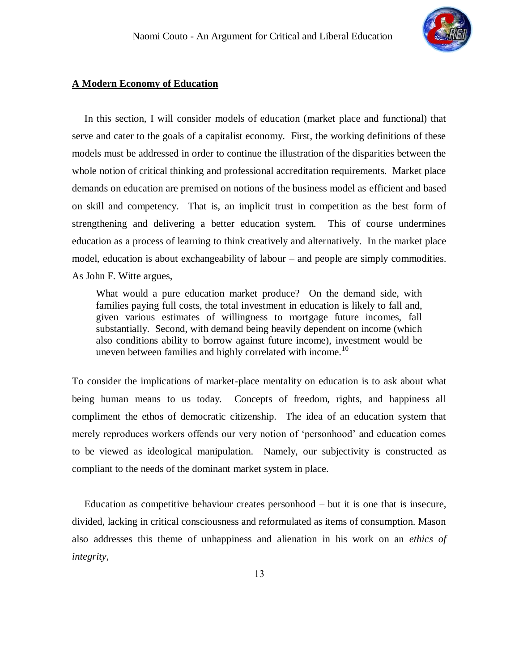

# **A Modern Economy of Education**

 In this section, I will consider models of education (market place and functional) that serve and cater to the goals of a capitalist economy. First, the working definitions of these models must be addressed in order to continue the illustration of the disparities between the whole notion of critical thinking and professional accreditation requirements. Market place demands on education are premised on notions of the business model as efficient and based on skill and competency. That is, an implicit trust in competition as the best form of strengthening and delivering a better education system. This of course undermines education as a process of learning to think creatively and alternatively. In the market place model, education is about exchangeability of labour – and people are simply commodities. As John F. Witte argues,

What would a pure education market produce? On the demand side, with families paying full costs, the total investment in education is likely to fall and, given various estimates of willingness to mortgage future incomes, fall substantially. Second, with demand being heavily dependent on income (which also conditions ability to borrow against future income), investment would be uneven between families and highly correlated with income.<sup>10</sup>

To consider the implications of market-place mentality on education is to ask about what being human means to us today. Concepts of freedom, rights, and happiness all compliment the ethos of democratic citizenship. The idea of an education system that merely reproduces workers offends our very notion of 'personhood' and education comes to be viewed as ideological manipulation. Namely, our subjectivity is constructed as compliant to the needs of the dominant market system in place.

 Education as competitive behaviour creates personhood – but it is one that is insecure, divided, lacking in critical consciousness and reformulated as items of consumption. Mason also addresses this theme of unhappiness and alienation in his work on an *ethics of integrity*,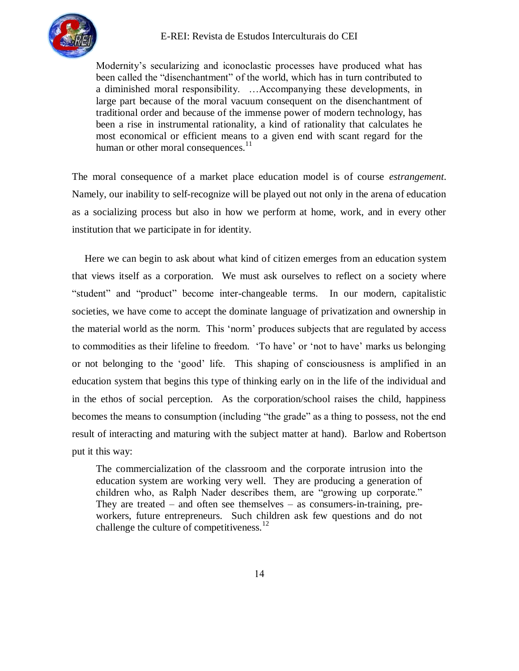

Modernity's secularizing and iconoclastic processes have produced what has been called the "disenchantment" of the world, which has in turn contributed to a diminished moral responsibility. …Accompanying these developments, in large part because of the moral vacuum consequent on the disenchantment of traditional order and because of the immense power of modern technology, has been a rise in instrumental rationality, a kind of rationality that calculates he most economical or efficient means to a given end with scant regard for the human or other moral consequences.<sup>11</sup>

The moral consequence of a market place education model is of course *estrangement*. Namely, our inability to self-recognize will be played out not only in the arena of education as a socializing process but also in how we perform at home, work, and in every other institution that we participate in for identity.

 Here we can begin to ask about what kind of citizen emerges from an education system that views itself as a corporation. We must ask ourselves to reflect on a society where "student" and "product" become inter-changeable terms. In our modern, capitalistic societies, we have come to accept the dominate language of privatization and ownership in the material world as the norm. This 'norm' produces subjects that are regulated by access to commodities as their lifeline to freedom. 'To have' or 'not to have' marks us belonging or not belonging to the 'good' life. This shaping of consciousness is amplified in an education system that begins this type of thinking early on in the life of the individual and in the ethos of social perception. As the corporation/school raises the child, happiness becomes the means to consumption (including "the grade" as a thing to possess, not the end result of interacting and maturing with the subject matter at hand). Barlow and Robertson put it this way:

The commercialization of the classroom and the corporate intrusion into the education system are working very well. They are producing a generation of children who, as Ralph Nader describes them, are "growing up corporate." They are treated – and often see themselves – as consumers-in-training, preworkers, future entrepreneurs. Such children ask few questions and do not challenge the culture of competitiveness. $^{12}$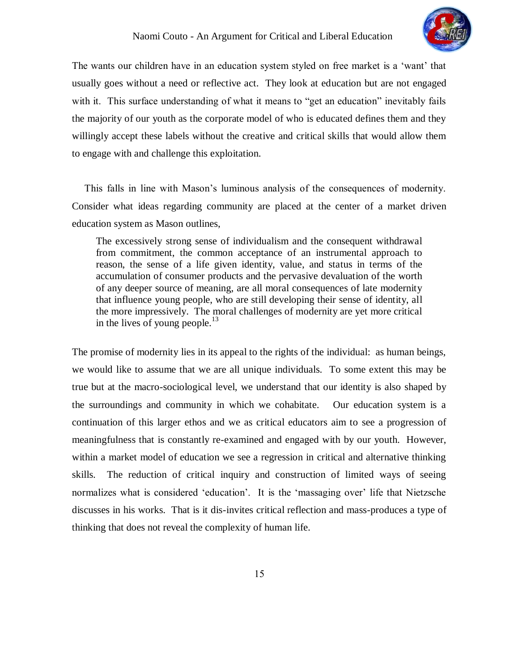

The wants our children have in an education system styled on free market is a 'want' that usually goes without a need or reflective act. They look at education but are not engaged with it. This surface understanding of what it means to "get an education" inevitably fails the majority of our youth as the corporate model of who is educated defines them and they willingly accept these labels without the creative and critical skills that would allow them to engage with and challenge this exploitation.

 This falls in line with Mason's luminous analysis of the consequences of modernity. Consider what ideas regarding community are placed at the center of a market driven education system as Mason outlines,

The excessively strong sense of individualism and the consequent withdrawal from commitment, the common acceptance of an instrumental approach to reason, the sense of a life given identity, value, and status in terms of the accumulation of consumer products and the pervasive devaluation of the worth of any deeper source of meaning, are all moral consequences of late modernity that influence young people, who are still developing their sense of identity, all the more impressively. The moral challenges of modernity are yet more critical in the lives of young people. $^{13}$ 

The promise of modernity lies in its appeal to the rights of the individual: as human beings, we would like to assume that we are all unique individuals. To some extent this may be true but at the macro-sociological level, we understand that our identity is also shaped by the surroundings and community in which we cohabitate. Our education system is a continuation of this larger ethos and we as critical educators aim to see a progression of meaningfulness that is constantly re-examined and engaged with by our youth. However, within a market model of education we see a regression in critical and alternative thinking skills. The reduction of critical inquiry and construction of limited ways of seeing normalizes what is considered 'education'. It is the 'massaging over' life that Nietzsche discusses in his works. That is it dis-invites critical reflection and mass-produces a type of thinking that does not reveal the complexity of human life.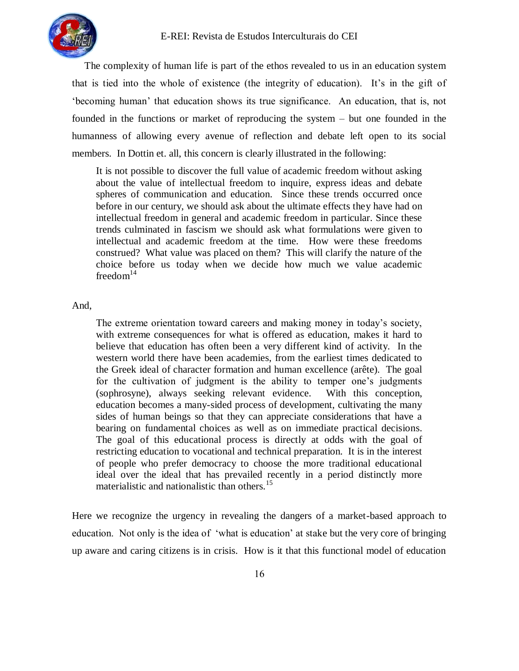

 The complexity of human life is part of the ethos revealed to us in an education system that is tied into the whole of existence (the integrity of education). It's in the gift of 'becoming human' that education shows its true significance. An education, that is, not founded in the functions or market of reproducing the system – but one founded in the humanness of allowing every avenue of reflection and debate left open to its social members. In Dottin et. all, this concern is clearly illustrated in the following:

It is not possible to discover the full value of academic freedom without asking about the value of intellectual freedom to inquire, express ideas and debate spheres of communication and education. Since these trends occurred once before in our century, we should ask about the ultimate effects they have had on intellectual freedom in general and academic freedom in particular. Since these trends culminated in fascism we should ask what formulations were given to intellectual and academic freedom at the time. How were these freedoms construed? What value was placed on them? This will clarify the nature of the choice before us today when we decide how much we value academic freedom $^{14}$ 

## And,

The extreme orientation toward careers and making money in today's society, with extreme consequences for what is offered as education, makes it hard to believe that education has often been a very different kind of activity. In the western world there have been academies, from the earliest times dedicated to the Greek ideal of character formation and human excellence (arête). The goal for the cultivation of judgment is the ability to temper one's judgments (sophrosyne), always seeking relevant evidence. With this conception, education becomes a many-sided process of development, cultivating the many sides of human beings so that they can appreciate considerations that have a bearing on fundamental choices as well as on immediate practical decisions. The goal of this educational process is directly at odds with the goal of restricting education to vocational and technical preparation. It is in the interest of people who prefer democracy to choose the more traditional educational ideal over the ideal that has prevailed recently in a period distinctly more materialistic and nationalistic than others.<sup>15</sup>

Here we recognize the urgency in revealing the dangers of a market-based approach to education. Not only is the idea of 'what is education' at stake but the very core of bringing up aware and caring citizens is in crisis. How is it that this functional model of education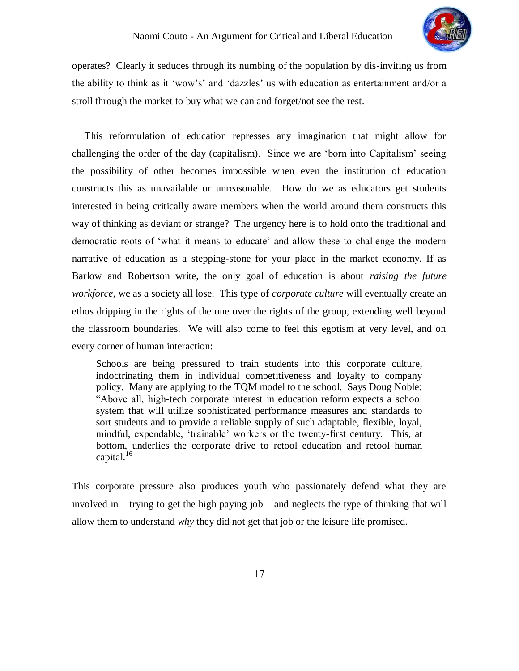

operates? Clearly it seduces through its numbing of the population by dis-inviting us from the ability to think as it 'wow's' and 'dazzles' us with education as entertainment and/or a stroll through the market to buy what we can and forget/not see the rest.

 This reformulation of education represses any imagination that might allow for challenging the order of the day (capitalism). Since we are 'born into Capitalism' seeing the possibility of other becomes impossible when even the institution of education constructs this as unavailable or unreasonable. How do we as educators get students interested in being critically aware members when the world around them constructs this way of thinking as deviant or strange? The urgency here is to hold onto the traditional and democratic roots of 'what it means to educate' and allow these to challenge the modern narrative of education as a stepping-stone for your place in the market economy. If as Barlow and Robertson write, the only goal of education is about *raising the future workforce*, we as a society all lose. This type of *corporate culture* will eventually create an ethos dripping in the rights of the one over the rights of the group, extending well beyond the classroom boundaries. We will also come to feel this egotism at very level, and on every corner of human interaction:

Schools are being pressured to train students into this corporate culture, indoctrinating them in individual competitiveness and loyalty to company policy. Many are applying to the TQM model to the school. Says Doug Noble: "Above all, high-tech corporate interest in education reform expects a school system that will utilize sophisticated performance measures and standards to sort students and to provide a reliable supply of such adaptable, flexible, loyal, mindful, expendable, 'trainable' workers or the twenty-first century. This, at bottom, underlies the corporate drive to retool education and retool human capital. $^{16}$ 

This corporate pressure also produces youth who passionately defend what they are involved in – trying to get the high paying job – and neglects the type of thinking that will allow them to understand *why* they did not get that job or the leisure life promised.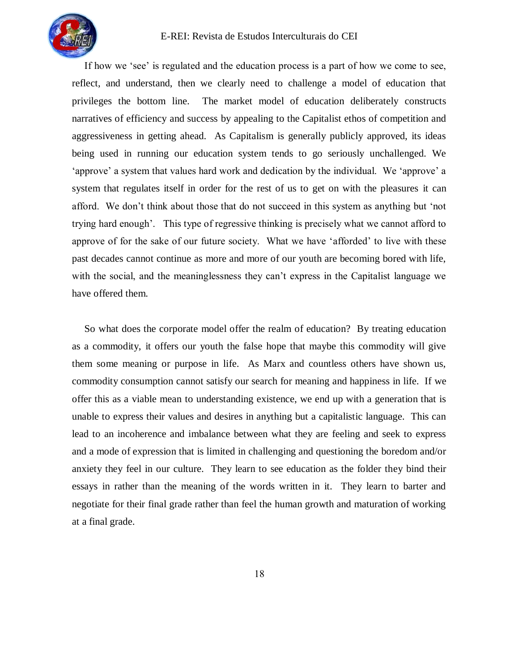

 If how we 'see' is regulated and the education process is a part of how we come to see, reflect, and understand, then we clearly need to challenge a model of education that privileges the bottom line. The market model of education deliberately constructs narratives of efficiency and success by appealing to the Capitalist ethos of competition and aggressiveness in getting ahead. As Capitalism is generally publicly approved, its ideas being used in running our education system tends to go seriously unchallenged. We 'approve' a system that values hard work and dedication by the individual. We 'approve' a system that regulates itself in order for the rest of us to get on with the pleasures it can afford. We don't think about those that do not succeed in this system as anything but 'not trying hard enough'. This type of regressive thinking is precisely what we cannot afford to approve of for the sake of our future society. What we have 'afforded' to live with these past decades cannot continue as more and more of our youth are becoming bored with life, with the social, and the meaninglessness they can't express in the Capitalist language we have offered them.

 So what does the corporate model offer the realm of education? By treating education as a commodity, it offers our youth the false hope that maybe this commodity will give them some meaning or purpose in life. As Marx and countless others have shown us, commodity consumption cannot satisfy our search for meaning and happiness in life. If we offer this as a viable mean to understanding existence, we end up with a generation that is unable to express their values and desires in anything but a capitalistic language. This can lead to an incoherence and imbalance between what they are feeling and seek to express and a mode of expression that is limited in challenging and questioning the boredom and/or anxiety they feel in our culture. They learn to see education as the folder they bind their essays in rather than the meaning of the words written in it. They learn to barter and negotiate for their final grade rather than feel the human growth and maturation of working at a final grade.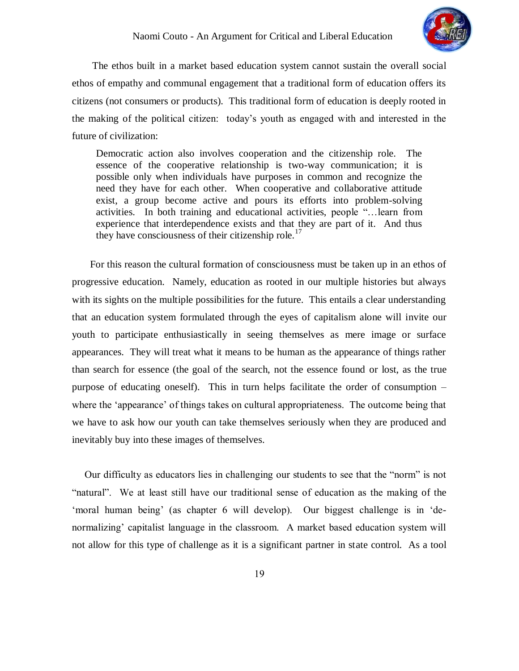

 The ethos built in a market based education system cannot sustain the overall social ethos of empathy and communal engagement that a traditional form of education offers its citizens (not consumers or products). This traditional form of education is deeply rooted in the making of the political citizen: today's youth as engaged with and interested in the future of civilization:

Democratic action also involves cooperation and the citizenship role. The essence of the cooperative relationship is two-way communication; it is possible only when individuals have purposes in common and recognize the need they have for each other. When cooperative and collaborative attitude exist, a group become active and pours its efforts into problem-solving activities. In both training and educational activities, people "…learn from experience that interdependence exists and that they are part of it. And thus they have consciousness of their citizenship role.<sup>17</sup>

For this reason the cultural formation of consciousness must be taken up in an ethos of progressive education. Namely, education as rooted in our multiple histories but always with its sights on the multiple possibilities for the future. This entails a clear understanding that an education system formulated through the eyes of capitalism alone will invite our youth to participate enthusiastically in seeing themselves as mere image or surface appearances. They will treat what it means to be human as the appearance of things rather than search for essence (the goal of the search, not the essence found or lost, as the true purpose of educating oneself). This in turn helps facilitate the order of consumption – where the 'appearance' of things takes on cultural appropriateness. The outcome being that we have to ask how our youth can take themselves seriously when they are produced and inevitably buy into these images of themselves.

 Our difficulty as educators lies in challenging our students to see that the "norm" is not "natural". We at least still have our traditional sense of education as the making of the 'moral human being' (as chapter 6 will develop). Our biggest challenge is in 'denormalizing' capitalist language in the classroom. A market based education system will not allow for this type of challenge as it is a significant partner in state control. As a tool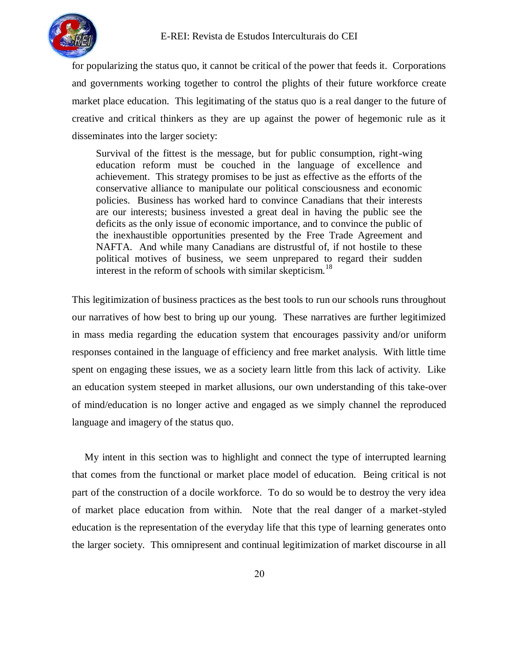

for popularizing the status quo, it cannot be critical of the power that feeds it. Corporations and governments working together to control the plights of their future workforce create market place education. This legitimating of the status quo is a real danger to the future of creative and critical thinkers as they are up against the power of hegemonic rule as it disseminates into the larger society:

Survival of the fittest is the message, but for public consumption, right-wing education reform must be couched in the language of excellence and achievement. This strategy promises to be just as effective as the efforts of the conservative alliance to manipulate our political consciousness and economic policies. Business has worked hard to convince Canadians that their interests are our interests; business invested a great deal in having the public see the deficits as the only issue of economic importance, and to convince the public of the inexhaustible opportunities presented by the Free Trade Agreement and NAFTA. And while many Canadians are distrustful of, if not hostile to these political motives of business, we seem unprepared to regard their sudden interest in the reform of schools with similar skepticism.<sup>18</sup>

This legitimization of business practices as the best tools to run our schools runs throughout our narratives of how best to bring up our young. These narratives are further legitimized in mass media regarding the education system that encourages passivity and/or uniform responses contained in the language of efficiency and free market analysis. With little time spent on engaging these issues, we as a society learn little from this lack of activity. Like an education system steeped in market allusions, our own understanding of this take-over of mind/education is no longer active and engaged as we simply channel the reproduced language and imagery of the status quo.

 My intent in this section was to highlight and connect the type of interrupted learning that comes from the functional or market place model of education. Being critical is not part of the construction of a docile workforce. To do so would be to destroy the very idea of market place education from within. Note that the real danger of a market-styled education is the representation of the everyday life that this type of learning generates onto the larger society. This omnipresent and continual legitimization of market discourse in all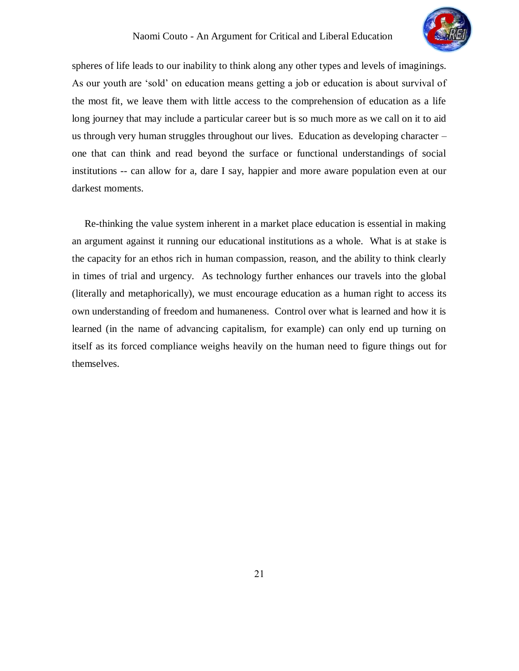### Naomi Couto - An Argument for Critical and Liberal Education



spheres of life leads to our inability to think along any other types and levels of imaginings. As our youth are 'sold' on education means getting a job or education is about survival of the most fit, we leave them with little access to the comprehension of education as a life long journey that may include a particular career but is so much more as we call on it to aid us through very human struggles throughout our lives. Education as developing character – one that can think and read beyond the surface or functional understandings of social institutions -- can allow for a, dare I say, happier and more aware population even at our darkest moments.

 Re-thinking the value system inherent in a market place education is essential in making an argument against it running our educational institutions as a whole. What is at stake is the capacity for an ethos rich in human compassion, reason, and the ability to think clearly in times of trial and urgency. As technology further enhances our travels into the global (literally and metaphorically), we must encourage education as a human right to access its own understanding of freedom and humaneness. Control over what is learned and how it is learned (in the name of advancing capitalism, for example) can only end up turning on itself as its forced compliance weighs heavily on the human need to figure things out for themselves.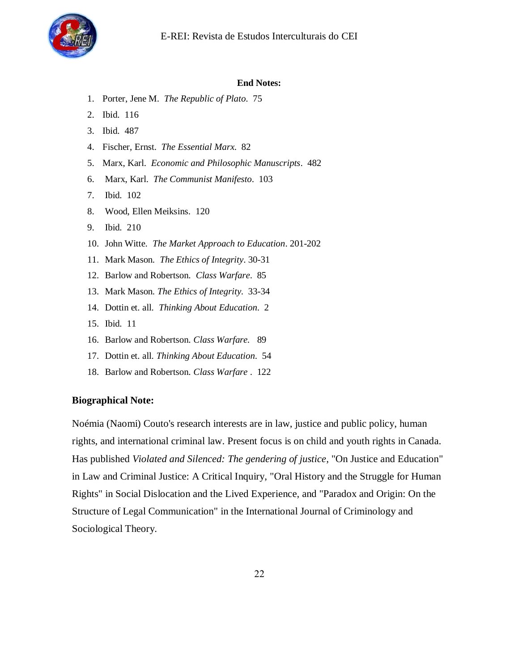

#### **End Notes:**

- 1. Porter, Jene M. *The Republic of Plato*. 75
- 2. Ibid. 116
- 3. Ibid. 487
- 4. Fischer, Ernst. *The Essential Marx*. 82
- 5. Marx, Karl. *Economic and Philosophic Manuscripts*. 482
- 6. Marx, Karl. *The Communist Manifesto*. 103
- 7. Ibid. 102
- 8. Wood, Ellen Meiksins. 120
- 9. Ibid. 210
- 10. John Witte. *The Market Approach to Education*. 201-202
- 11. Mark Mason. *The Ethics of Integrity*. 30-31
- 12. Barlow and Robertson. *Class Warfare*. 85
- 13. Mark Mason. *The Ethics of Integrity*. 33-34
- 14. Dottin et. all. *Thinking About Education*. 2
- 15. Ibid. 11
- 16. Barlow and Robertson. *Class Warfare.* 89
- 17. Dottin et. all. *Thinking About Education*. 54
- 18. Barlow and Robertson. *Class Warfare* . 122

### **Biographical Note:**

Noémia (Naomi) Couto's research interests are in law, justice and public policy, human rights, and international criminal law. Present focus is on child and youth rights in Canada. Has published *Violated and Silenced: The gendering of justice*, "On Justice and Education" in Law and Criminal Justice: A Critical Inquiry, "Oral History and the Struggle for Human Rights" in Social Dislocation and the Lived Experience, and "Paradox and Origin: On the Structure of Legal Communication" in the International Journal of Criminology and Sociological Theory.